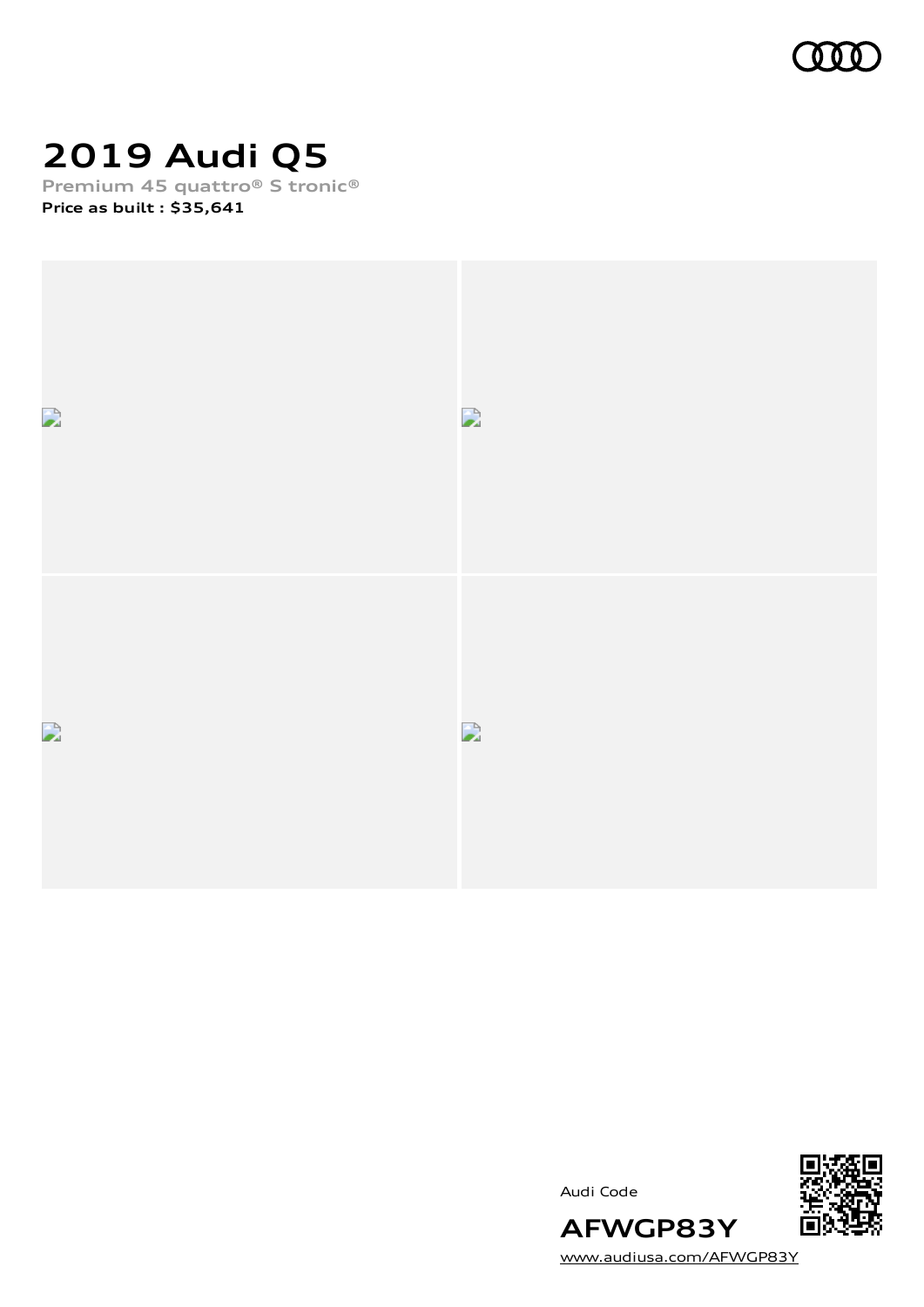

# **2019 Audi Q5**

**Premium 45 quattro® S tronic® Price as built [:](#page-10-0) \$35,641**





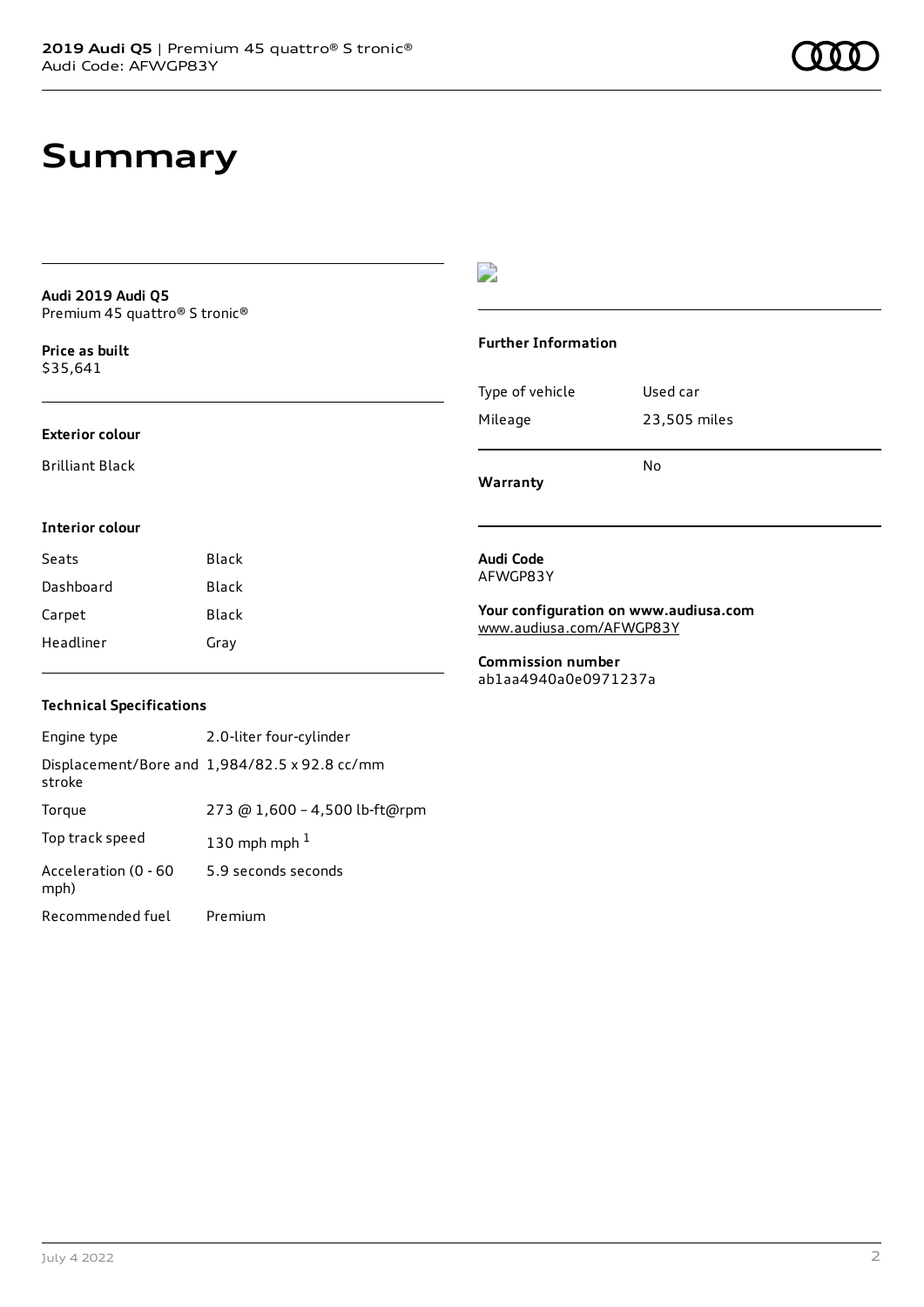# **Summary**

**Audi 2019 Audi Q5** Premium 45 quattro® S tronic®

**Price as buil[t](#page-10-0)** \$35,641

### **Exterior colour**

Brilliant Black

### $\overline{\phantom{a}}$

### **Further Information**

|                 | N٥           |
|-----------------|--------------|
| Mileage         | 23,505 miles |
| Type of vehicle | Used car     |

**Warranty**

### **Interior colour**

| Seats     | Black |
|-----------|-------|
| Dashboard | Black |
| Carpet    | Black |
| Headliner | Gray  |

#### **Audi Code** AFWGP83Y

**Your configuration on www.audiusa.com** [www.audiusa.com/AFWGP83Y](https://www.audiusa.com/AFWGP83Y)

**Commission number** ab1aa4940a0e0971237a

### **Technical Specifications**

| Engine type                  | 2.0-liter four-cylinder                       |
|------------------------------|-----------------------------------------------|
| stroke                       | Displacement/Bore and 1,984/82.5 x 92.8 cc/mm |
| Torque                       | 273 @ 1,600 - 4,500 lb-ft@rpm                 |
| Top track speed              | 130 mph mph $1$                               |
| Acceleration (0 - 60<br>mph) | 5.9 seconds seconds                           |
| Recommended fuel             | Premium                                       |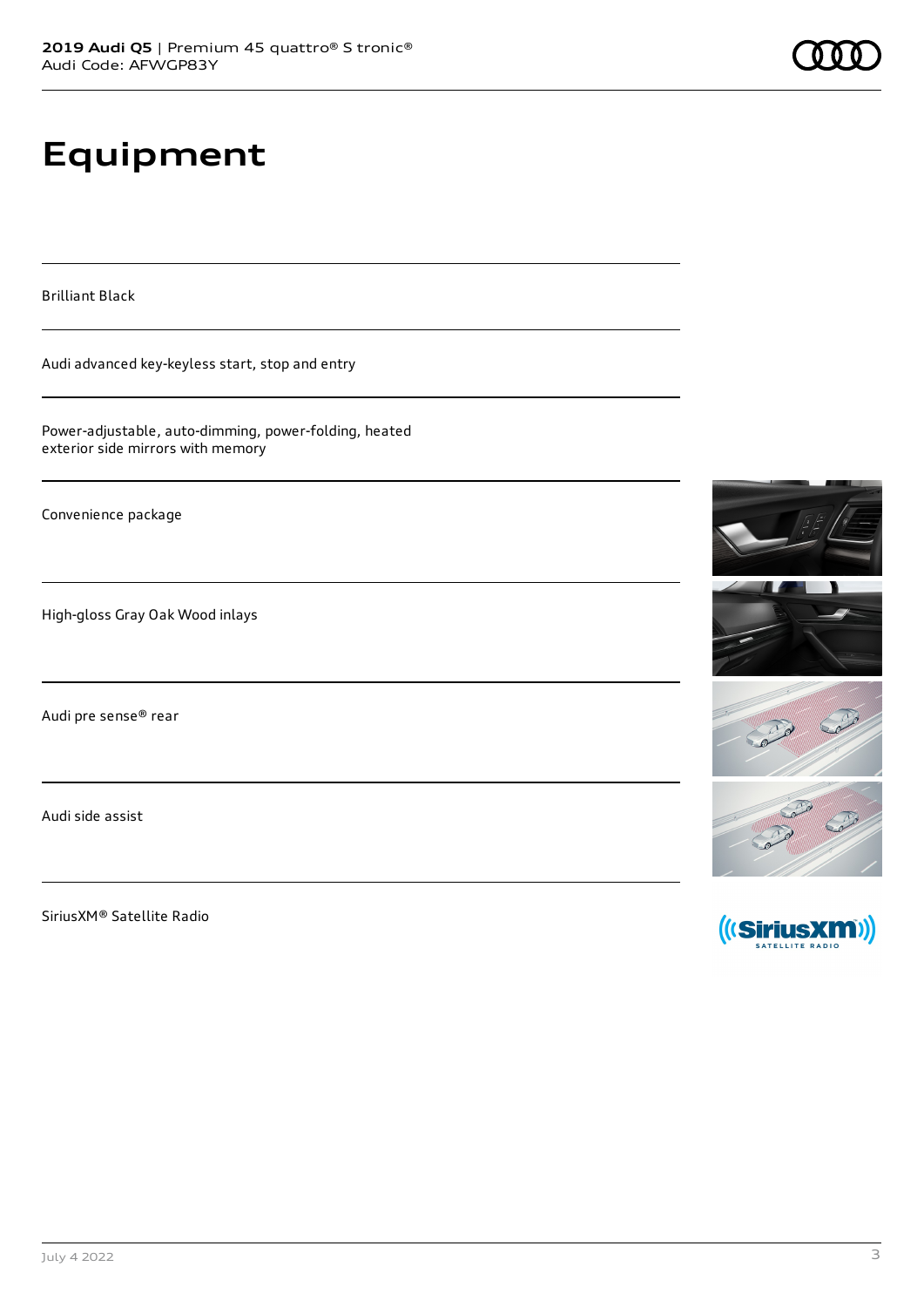# **Equipment**

Brilliant Black

Audi advanced key-keyless start, stop and entry

Power-adjustable, auto-dimming, power-folding, heated exterior side mirrors with memory

Convenience package

High-gloss Gray Oak Wood inlays

Audi pre sense® rear

Audi side assist

SiriusXM® Satellite Radio









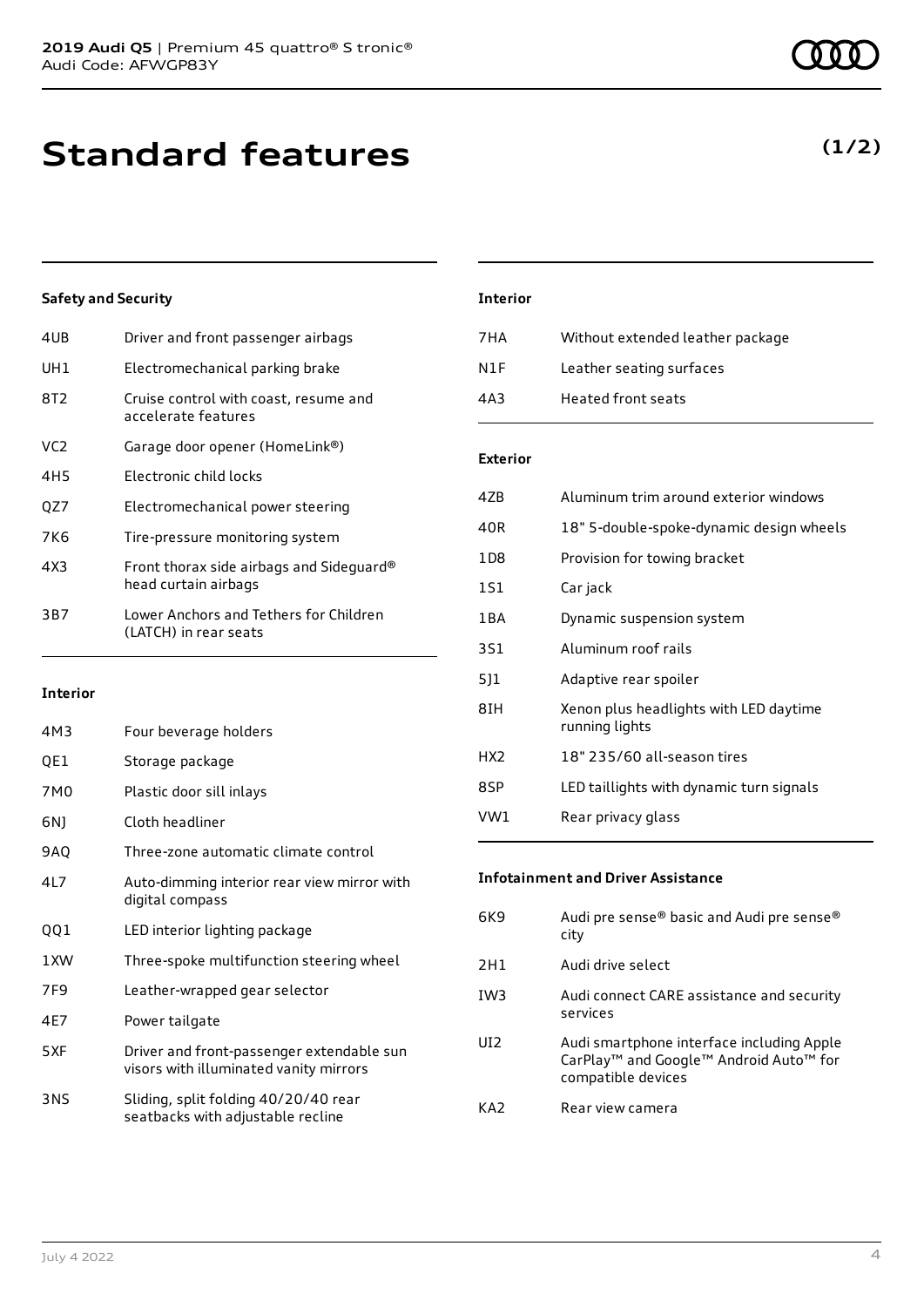**Standard features**

### **Safety and Security**

| 4UB             | Driver and front passenger airbags                               |
|-----------------|------------------------------------------------------------------|
| UH1             | Electromechanical parking brake                                  |
| 8T2             | Cruise control with coast, resume and<br>accelerate features     |
| VC <sub>2</sub> | Garage door opener (HomeLink®)                                   |
| 4H5             | Electronic child locks                                           |
| QZ7             | Electromechanical power steering                                 |
| 7K6             | Tire-pressure monitoring system                                  |
| 4X3             | Front thorax side airbags and Sideguard®<br>head curtain airbags |
| 3B7             | Lower Anchors and Tethers for Children<br>(LATCH) in rear seats  |
|                 |                                                                  |

### **Interior**

| 4M3  | Four beverage holders                                                               |
|------|-------------------------------------------------------------------------------------|
| QE1  | Storage package                                                                     |
| 7M0  | Plastic door sill inlays                                                            |
| 6N)  | Cloth headliner                                                                     |
| 9AQ  | Three-zone automatic climate control                                                |
| 417  | Auto-dimming interior rear view mirror with<br>digital compass                      |
| QQ1  | LED interior lighting package                                                       |
| 1 XW | Three-spoke multifunction steering wheel                                            |
| 7F9  | Leather-wrapped gear selector                                                       |
| 4F7  | Power tailgate                                                                      |
| 5XF  | Driver and front-passenger extendable sun<br>visors with illuminated vanity mirrors |
| 3NS  | Sliding, split folding 40/20/40 rear<br>seatbacks with adjustable recline           |

### **Interior**

| 7 H A            | Without extended leather package |
|------------------|----------------------------------|
| N <sub>1</sub> F | Leather seating surfaces         |
| 4A3              | <b>Heated front seats</b>        |

### **Exterior**

| 47B   | Aluminum trim around exterior windows                    |
|-------|----------------------------------------------------------|
| 40R   | 18" 5-double-spoke-dynamic design wheels                 |
| 1D8   | Provision for towing bracket                             |
| 151   | Car jack                                                 |
| 1 B A | Dynamic suspension system                                |
| 3S1   | Aluminum roof rails                                      |
| 511   | Adaptive rear spoiler                                    |
| 8IH   | Xenon plus headlights with LED daytime<br>running lights |
| HX2   | 18" 235/60 all-season tires                              |
| 8SP   | LED taillights with dynamic turn signals                 |
| VW1   | Rear privacy glass                                       |

### **Infotainment and Driver Assistance**

| 6K9             | Audi pre sense® basic and Audi pre sense®<br>city                                                                                             |
|-----------------|-----------------------------------------------------------------------------------------------------------------------------------------------|
| 2H1             | Audi drive select                                                                                                                             |
| IW <sub>3</sub> | Audi connect CARE assistance and security<br>services                                                                                         |
| UI <sub>2</sub> | Audi smartphone interface including Apple<br>CarPlay <sup>™</sup> and Google <sup>™</sup> Android Auto <sup>™</sup> for<br>compatible devices |
| KA2             | Rear view camera                                                                                                                              |

### **(1/2)**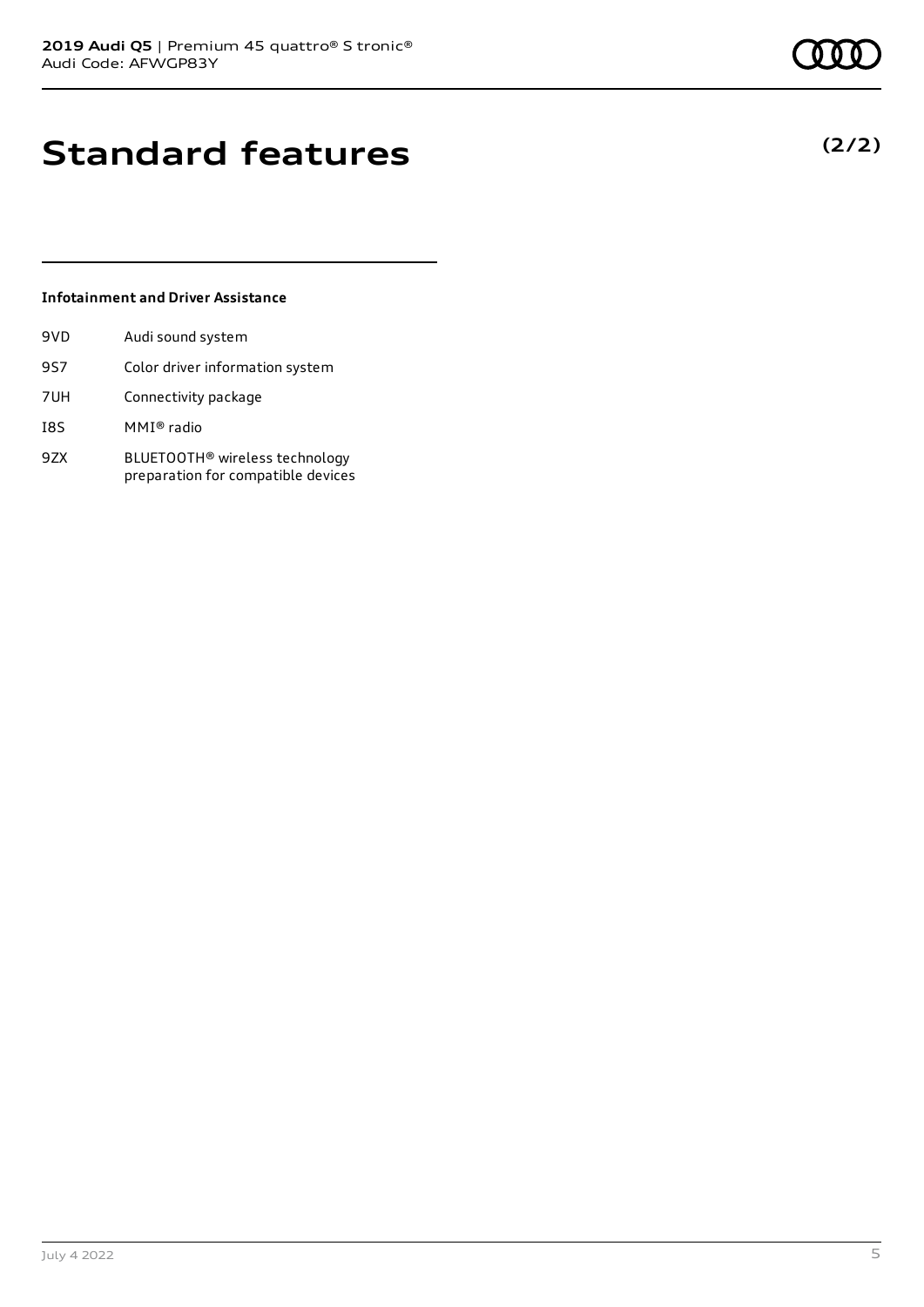# **Standard features**

### **Infotainment and Driver Assistance**

| 9VD | Audi sound system                                                                |
|-----|----------------------------------------------------------------------------------|
| 9S7 | Color driver information system                                                  |
| 7UH | Connectivity package                                                             |
| I8S | MMI® radio                                                                       |
| 9ZX | BLUETOOTH <sup>®</sup> wireless technology<br>preparation for compatible devices |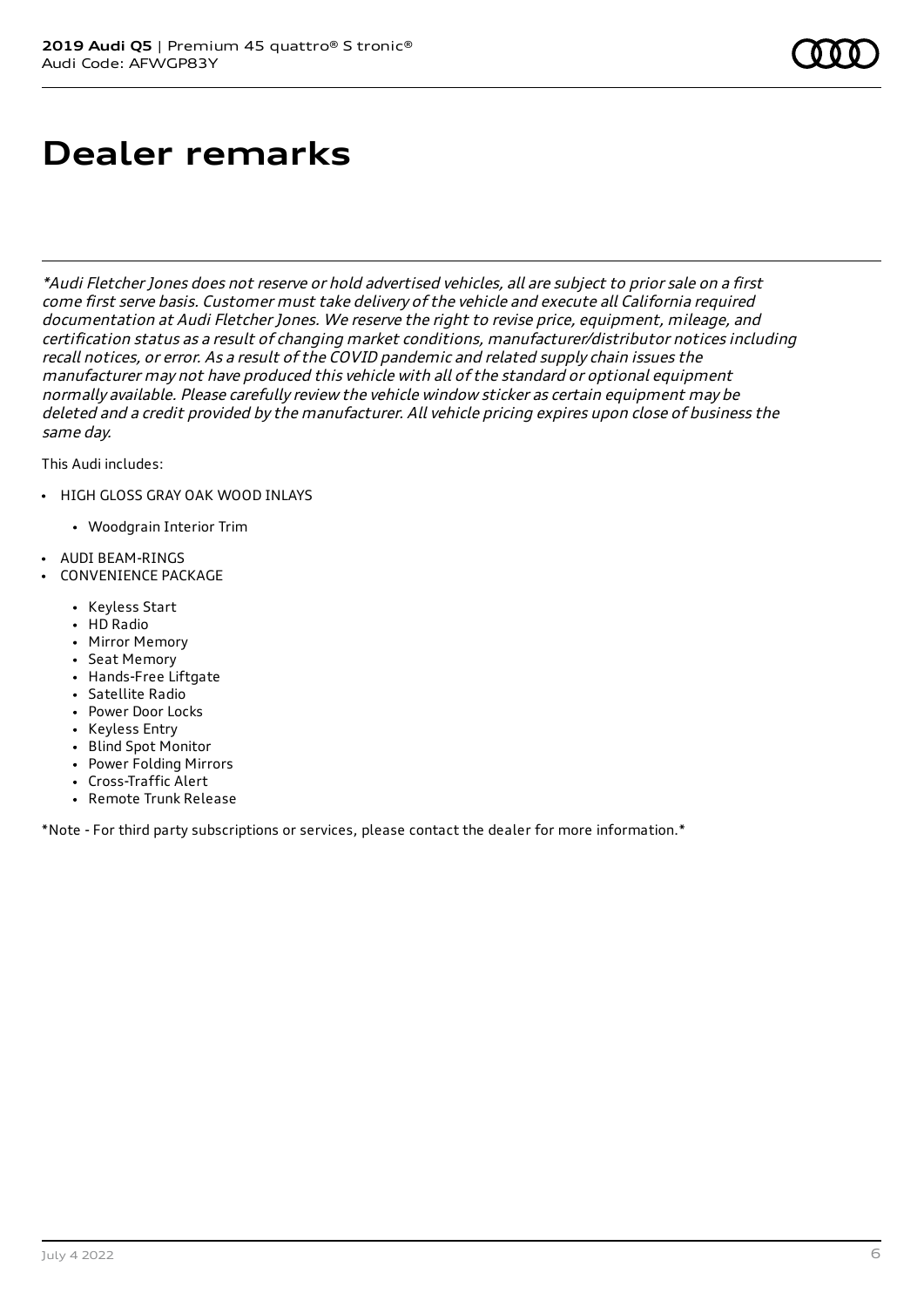# **Dealer remarks**

\*Audi Fletcher Jones does not reserve or hold advertised vehicles, all are subject to prior sale on <sup>a</sup> first come first serve basis. Customer must take delivery of the vehicle and execute all California required documentation at Audi Fletcher Jones. We reserve the right to revise price, equipment, mileage, and certification status as <sup>a</sup> result of changing market conditions, manufacturer/distributor notices including recall notices, or error. As <sup>a</sup> result of the COVID pandemic and related supply chain issues the manufacturer may not have produced this vehicle with all of the standard or optional equipment normally available. Please carefully review the vehicle window sticker as certain equipment may be deleted and <sup>a</sup> credit provided by the manufacturer. All vehicle pricing expires upon close of business the same day.

This Audi includes:

- HIGH GLOSS GRAY OAK WOOD INLAYS
	- Woodgrain Interior Trim
- AUDI BEAM-RINGS
- CONVENIENCE PACKAGE
	- Keyless Start
	- HD Radio
	- Mirror Memory
	- Seat Memory
	- Hands-Free Liftgate
	- Satellite Radio
	- Power Door Locks
	- Keyless Entry
	- Blind Spot Monitor
	- Power Folding Mirrors
	- Cross-Traffic Alert
	- Remote Trunk Release

\*Note - For third party subscriptions or services, please contact the dealer for more information.\*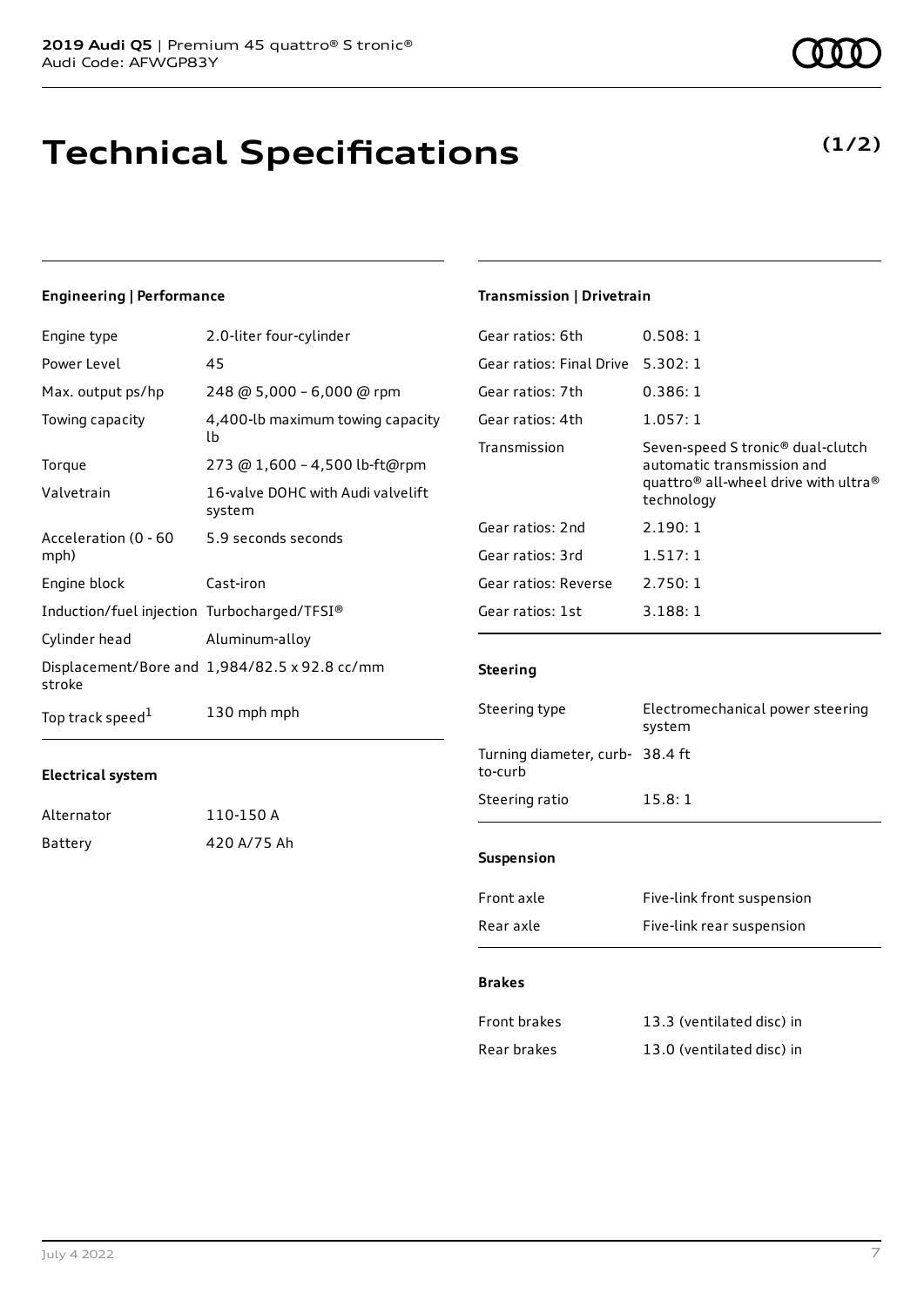# **Technical Specifications**

### **Engineering | Performance**

| Engine type                                 | 2.0-liter four-cylinder                       |
|---------------------------------------------|-----------------------------------------------|
| Power Level                                 | 45                                            |
| Max. output ps/hp                           | 248 @ 5,000 - 6,000 @ rpm                     |
| Towing capacity                             | 4,400-lb maximum towing capacity<br>lb        |
| Torque                                      | 273 @ 1,600 - 4,500 lb-ft@rpm                 |
| Valvetrain                                  | 16-valve DOHC with Audi valvelift<br>system   |
| Acceleration (0 - 60<br>mph)                | 5.9 seconds seconds                           |
| Engine block                                | Cast-iron                                     |
| Induction/fuel injection Turbocharged/TFSI® |                                               |
| Cylinder head                               | Aluminum-alloy                                |
| stroke                                      | Displacement/Bore and 1,984/82.5 x 92.8 cc/mm |
| Top track speed <sup>1</sup>                | 130 mph mph                                   |

### **Electrical system**

| Alternator | 110-150 A   |
|------------|-------------|
| Battery    | 420 A/75 Ah |

### **Transmission | Drivetrain**

| Gear ratios: 6th         | 0.508:1                                                                                                                                                   |
|--------------------------|-----------------------------------------------------------------------------------------------------------------------------------------------------------|
| Gear ratios: Final Drive | 5.302:1                                                                                                                                                   |
| Gear ratios: 7th         | 0.386:1                                                                                                                                                   |
| Gear ratios: 4th         | 1.057:1                                                                                                                                                   |
| Transmission             | Seven-speed S tronic <sup>®</sup> dual-clutch<br>automatic transmission and<br>quattro <sup>®</sup> all-wheel drive with ultra <sup>®</sup><br>technology |
| Gear ratios: 2nd         | 2.190:1                                                                                                                                                   |
| Gear ratios: 3rd         | 1.517:1                                                                                                                                                   |
| Gear ratios: Reverse     | 2.750:1                                                                                                                                                   |
| Gear ratios: 1st         | 3.188:1                                                                                                                                                   |
|                          |                                                                                                                                                           |

### **Steering**

| Steering type                             | Electromechanical power steering<br>system |  |
|-------------------------------------------|--------------------------------------------|--|
| Turning diameter, curb-38.4 ft<br>to-curb |                                            |  |
| Steering ratio                            | 15.8:1                                     |  |
| <b>Suspension</b>                         |                                            |  |
| Front axle                                | Five-link front suspension                 |  |
|                                           |                                            |  |

### Rear axle Five-link rear suspension

### **Brakes**

| Front brakes | 13.3 (ventilated disc) in |
|--------------|---------------------------|
| Rear brakes  | 13.0 (ventilated disc) in |



**(1/2)**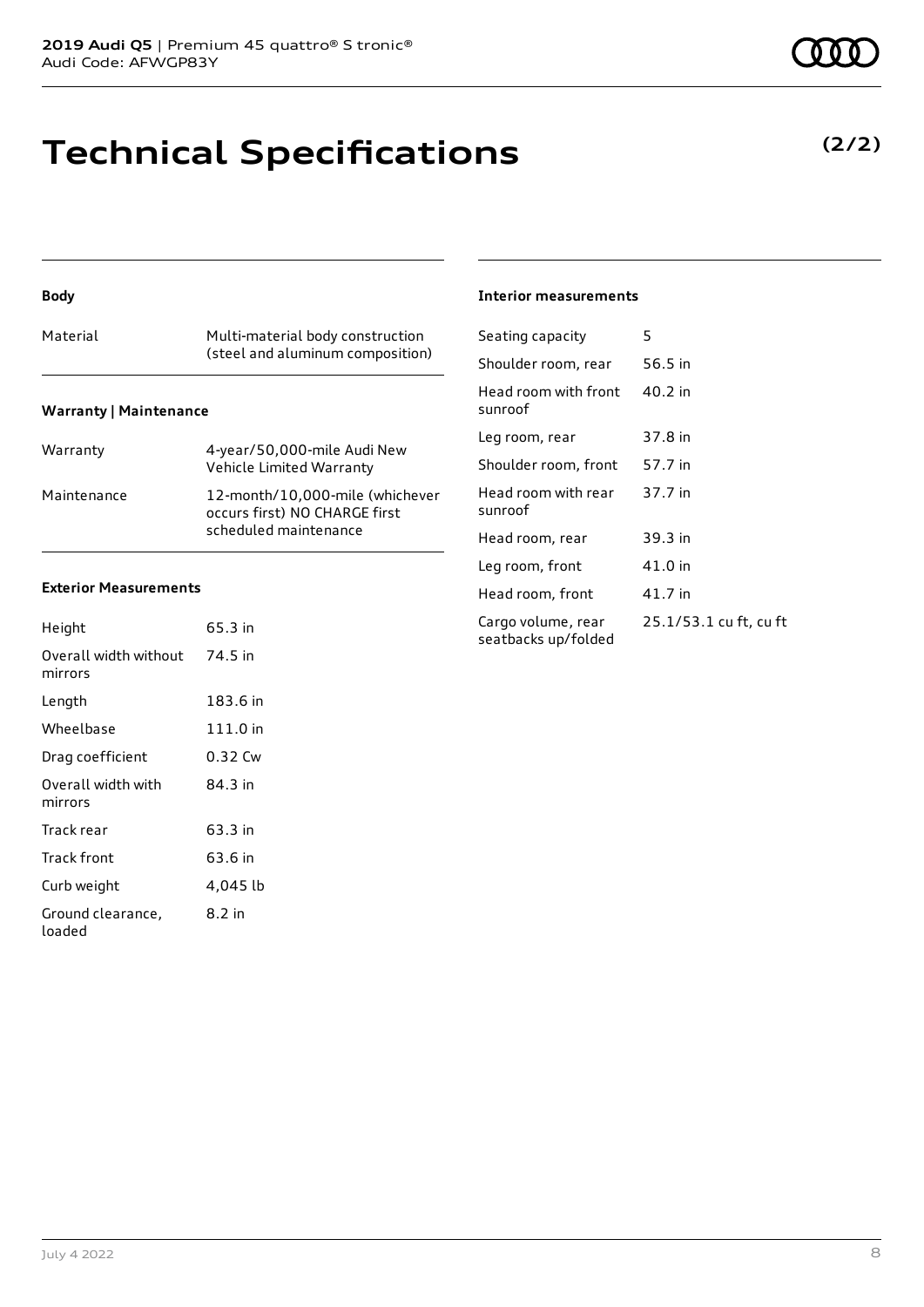# **Technical Specifications**

### **Body**

| Material                      | Multi-material body construction<br>(steel and aluminum composition) |  |  |
|-------------------------------|----------------------------------------------------------------------|--|--|
| <b>Warranty   Maintenance</b> |                                                                      |  |  |

| Warranty    | 4-year/50,000-mile Audi New<br>Vehicle Limited Warranty                                   |
|-------------|-------------------------------------------------------------------------------------------|
| Maintenance | 12-month/10,000-mile (whichever<br>occurs first) NO CHARGE first<br>scheduled maintenance |

### **Exterior Measurements**

| Height                           | 65.3 in  |
|----------------------------------|----------|
| Overall width without<br>mirrors | 74.5 in  |
| Length                           | 183.6 in |
| Wheelbase                        | 111.0 in |
| Drag coefficient                 | 0.32 Cw  |
| Overall width with<br>mirrors    | 84.3 in  |
| Track rear                       | 63.3 in  |
| Track front                      | 63.6 in  |
| Curb weight                      | 4,045 lb |
| Ground clearance,<br>loaded      | 8.2 in   |

### **Interior measurements**

| Seating capacity                          | 5                      |
|-------------------------------------------|------------------------|
| Shoulder room, rear                       | 56.5 in                |
| Head room with front<br>sunroof           | 40.2 in                |
| Leg room, rear                            | 37.8 in                |
| Shoulder room, front                      | 57.7 in                |
| Head room with rear<br>sunroof            | 37.7 in                |
| Head room, rear                           | 39.3 in                |
| Leg room, front                           | 41.0 in                |
| Head room, front                          | 41.7 in                |
| Cargo volume, rear<br>seatbacks up/folded | 25.1/53.1 cu ft, cu ft |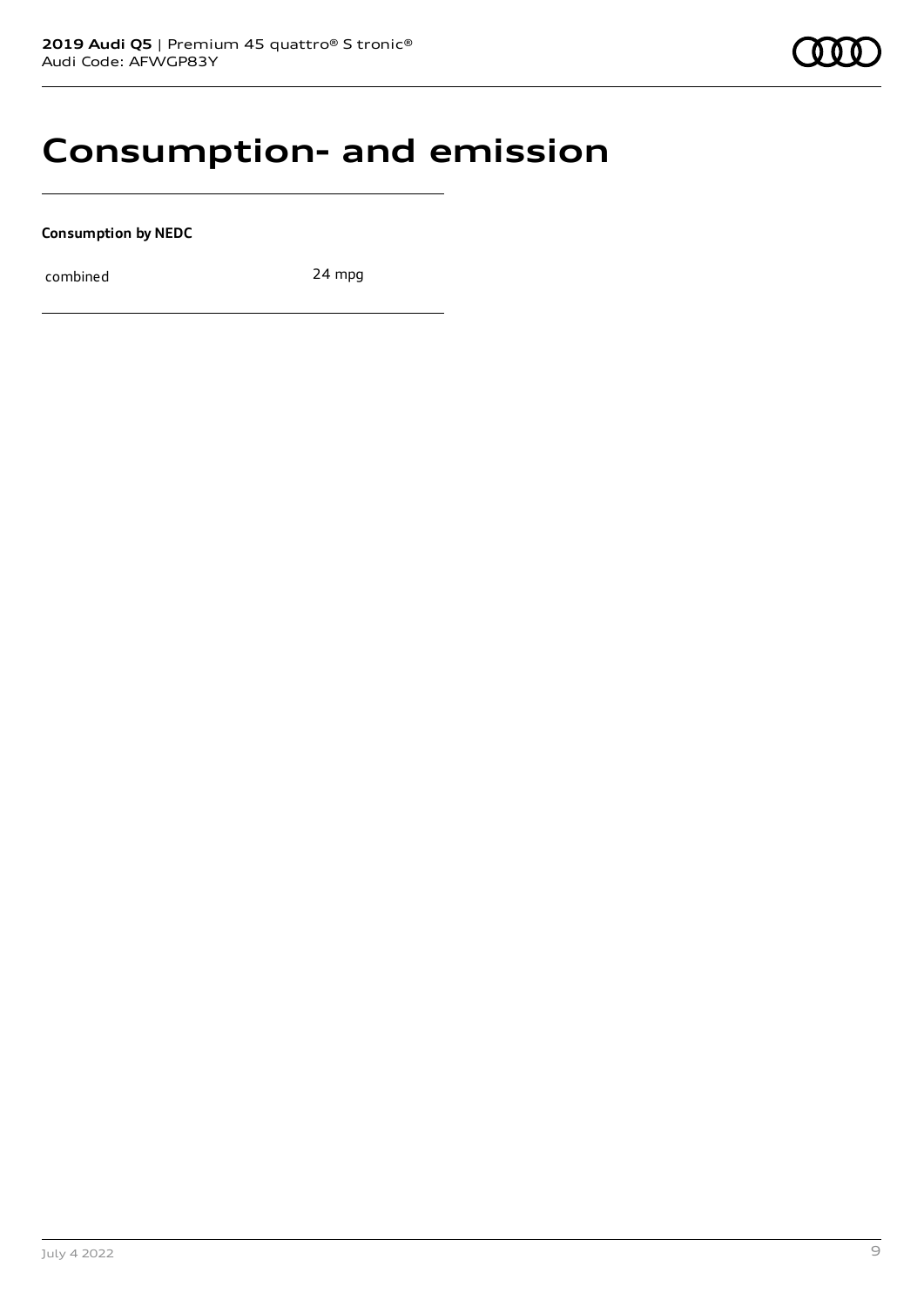### **Consumption- and emission**

**Consumption by NEDC**

combined 24 mpg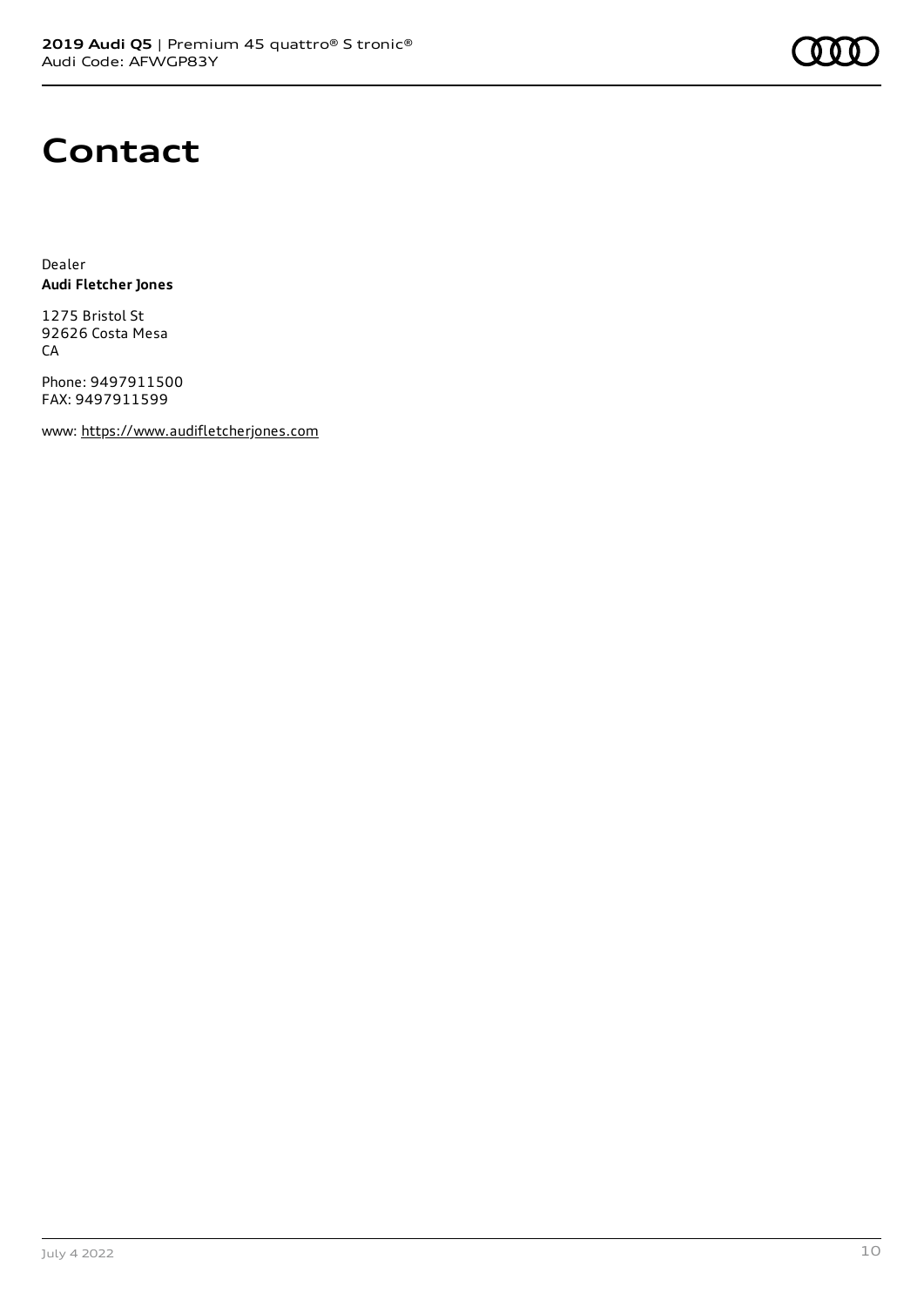

## **Contact**

Dealer **Audi Fletcher Jones**

1275 Bristol St 92626 Costa Mesa **CA** 

Phone: 9497911500 FAX: 9497911599

www: [https://www.audifletcherjones.com](https://www.audifletcherjones.com/)